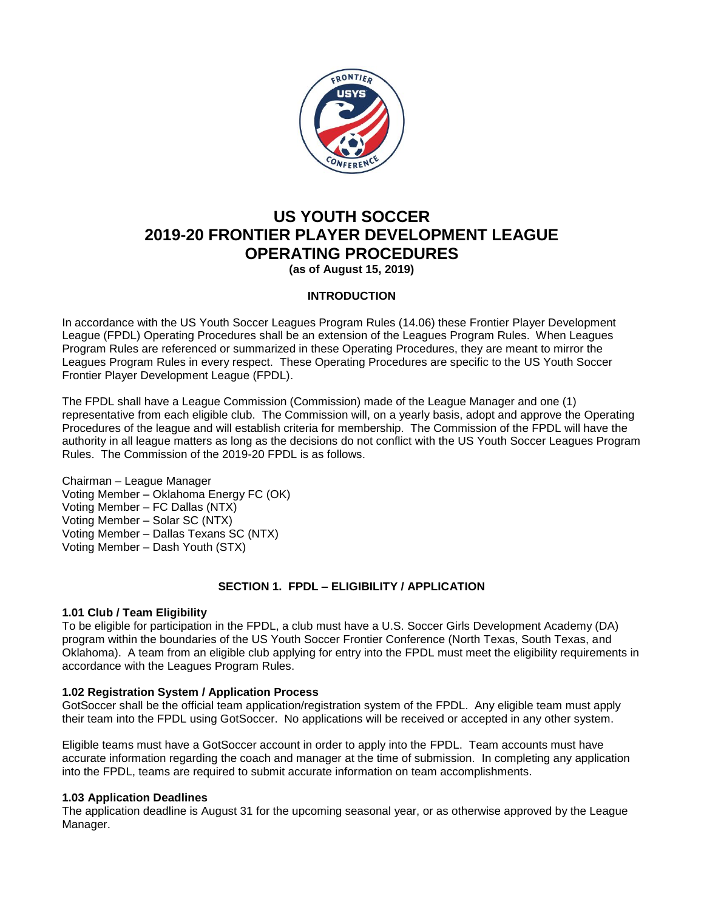

# **US YOUTH SOCCER 2019-20 FRONTIER PLAYER DEVELOPMENT LEAGUE OPERATING PROCEDURES**

**(as of August 15, 2019)**

# **INTRODUCTION**

In accordance with the US Youth Soccer Leagues Program Rules (14.06) these Frontier Player Development League (FPDL) Operating Procedures shall be an extension of the Leagues Program Rules. When Leagues Program Rules are referenced or summarized in these Operating Procedures, they are meant to mirror the Leagues Program Rules in every respect. These Operating Procedures are specific to the US Youth Soccer Frontier Player Development League (FPDL).

The FPDL shall have a League Commission (Commission) made of the League Manager and one (1) representative from each eligible club. The Commission will, on a yearly basis, adopt and approve the Operating Procedures of the league and will establish criteria for membership. The Commission of the FPDL will have the authority in all league matters as long as the decisions do not conflict with the US Youth Soccer Leagues Program Rules. The Commission of the 2019-20 FPDL is as follows.

Chairman – League Manager Voting Member – Oklahoma Energy FC (OK) Voting Member – FC Dallas (NTX) Voting Member – Solar SC (NTX) Voting Member – Dallas Texans SC (NTX) Voting Member – Dash Youth (STX)

# **SECTION 1. FPDL – ELIGIBILITY / APPLICATION**

# **1.01 Club / Team Eligibility**

To be eligible for participation in the FPDL, a club must have a U.S. Soccer Girls Development Academy (DA) program within the boundaries of the US Youth Soccer Frontier Conference (North Texas, South Texas, and Oklahoma). A team from an eligible club applying for entry into the FPDL must meet the eligibility requirements in accordance with the Leagues Program Rules.

# **1.02 Registration System / Application Process**

GotSoccer shall be the official team application/registration system of the FPDL. Any eligible team must apply their team into the FPDL using GotSoccer. No applications will be received or accepted in any other system.

Eligible teams must have a GotSoccer account in order to apply into the FPDL. Team accounts must have accurate information regarding the coach and manager at the time of submission. In completing any application into the FPDL, teams are required to submit accurate information on team accomplishments.

#### **1.03 Application Deadlines**

The application deadline is August 31 for the upcoming seasonal year, or as otherwise approved by the League Manager.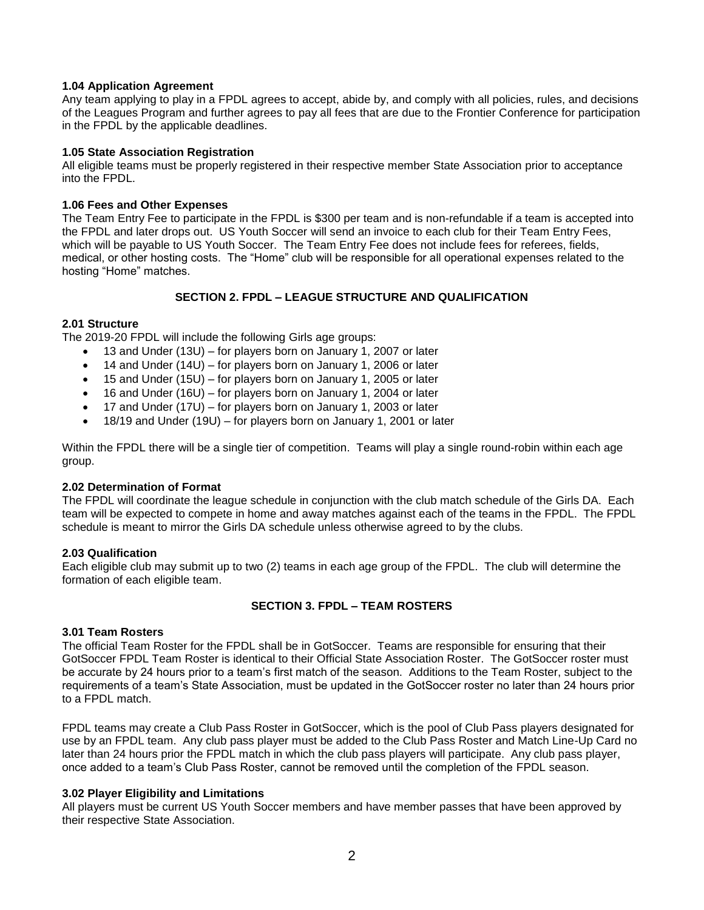## **1.04 Application Agreement**

Any team applying to play in a FPDL agrees to accept, abide by, and comply with all policies, rules, and decisions of the Leagues Program and further agrees to pay all fees that are due to the Frontier Conference for participation in the FPDL by the applicable deadlines.

#### **1.05 State Association Registration**

All eligible teams must be properly registered in their respective member State Association prior to acceptance into the FPDL.

## **1.06 Fees and Other Expenses**

The Team Entry Fee to participate in the FPDL is \$300 per team and is non-refundable if a team is accepted into the FPDL and later drops out. US Youth Soccer will send an invoice to each club for their Team Entry Fees, which will be payable to US Youth Soccer. The Team Entry Fee does not include fees for referees, fields, medical, or other hosting costs. The "Home" club will be responsible for all operational expenses related to the hosting "Home" matches.

# **SECTION 2. FPDL – LEAGUE STRUCTURE AND QUALIFICATION**

# **2.01 Structure**

The 2019-20 FPDL will include the following Girls age groups:

- 13 and Under (13U) for players born on January 1, 2007 or later
- 14 and Under (14U) for players born on January 1, 2006 or later
- 15 and Under (15U) for players born on January 1, 2005 or later
- 16 and Under (16U) for players born on January 1, 2004 or later
- 17 and Under (17U) for players born on January 1, 2003 or later
- 18/19 and Under (19U) for players born on January 1, 2001 or later

Within the FPDL there will be a single tier of competition. Teams will play a single round-robin within each age group.

# **2.02 Determination of Format**

The FPDL will coordinate the league schedule in conjunction with the club match schedule of the Girls DA. Each team will be expected to compete in home and away matches against each of the teams in the FPDL. The FPDL schedule is meant to mirror the Girls DA schedule unless otherwise agreed to by the clubs.

#### **2.03 Qualification**

Each eligible club may submit up to two (2) teams in each age group of the FPDL. The club will determine the formation of each eligible team.

# **SECTION 3. FPDL – TEAM ROSTERS**

# **3.01 Team Rosters**

The official Team Roster for the FPDL shall be in GotSoccer. Teams are responsible for ensuring that their GotSoccer FPDL Team Roster is identical to their Official State Association Roster. The GotSoccer roster must be accurate by 24 hours prior to a team's first match of the season. Additions to the Team Roster, subject to the requirements of a team's State Association, must be updated in the GotSoccer roster no later than 24 hours prior to a FPDL match.

FPDL teams may create a Club Pass Roster in GotSoccer, which is the pool of Club Pass players designated for use by an FPDL team. Any club pass player must be added to the Club Pass Roster and Match Line-Up Card no later than 24 hours prior the FPDL match in which the club pass players will participate. Any club pass player, once added to a team's Club Pass Roster, cannot be removed until the completion of the FPDL season.

#### **3.02 Player Eligibility and Limitations**

All players must be current US Youth Soccer members and have member passes that have been approved by their respective State Association.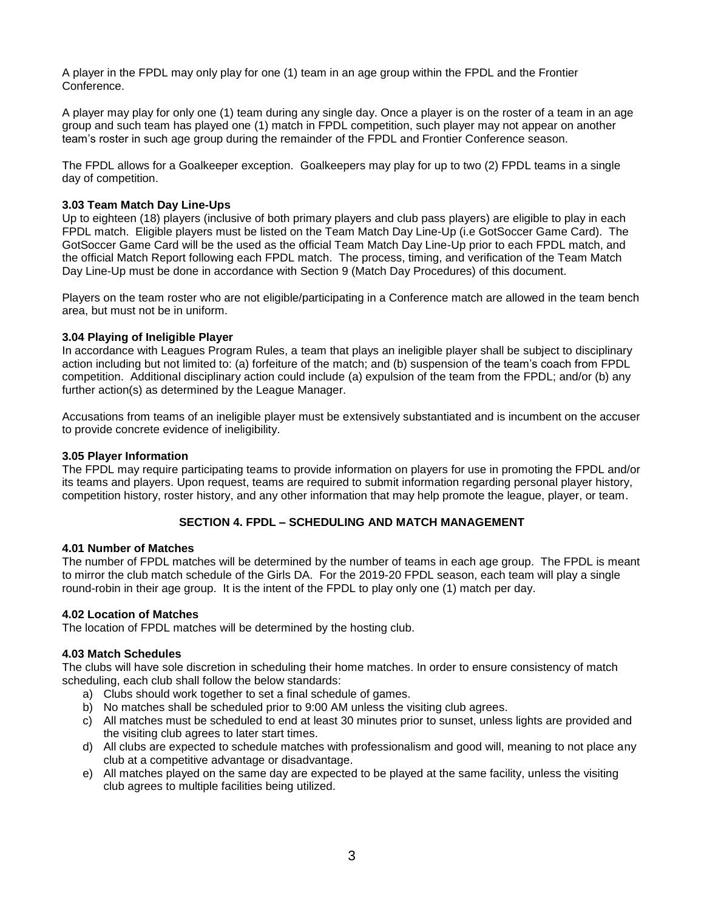A player in the FPDL may only play for one (1) team in an age group within the FPDL and the Frontier Conference.

A player may play for only one (1) team during any single day. Once a player is on the roster of a team in an age group and such team has played one (1) match in FPDL competition, such player may not appear on another team's roster in such age group during the remainder of the FPDL and Frontier Conference season.

The FPDL allows for a Goalkeeper exception. Goalkeepers may play for up to two (2) FPDL teams in a single day of competition.

# **3.03 Team Match Day Line-Ups**

Up to eighteen (18) players (inclusive of both primary players and club pass players) are eligible to play in each FPDL match. Eligible players must be listed on the Team Match Day Line-Up (i.e GotSoccer Game Card). The GotSoccer Game Card will be the used as the official Team Match Day Line-Up prior to each FPDL match, and the official Match Report following each FPDL match. The process, timing, and verification of the Team Match Day Line-Up must be done in accordance with Section 9 (Match Day Procedures) of this document.

Players on the team roster who are not eligible/participating in a Conference match are allowed in the team bench area, but must not be in uniform.

# **3.04 Playing of Ineligible Player**

In accordance with Leagues Program Rules, a team that plays an ineligible player shall be subject to disciplinary action including but not limited to: (a) forfeiture of the match; and (b) suspension of the team's coach from FPDL competition. Additional disciplinary action could include (a) expulsion of the team from the FPDL; and/or (b) any further action(s) as determined by the League Manager.

Accusations from teams of an ineligible player must be extensively substantiated and is incumbent on the accuser to provide concrete evidence of ineligibility.

#### **3.05 Player Information**

The FPDL may require participating teams to provide information on players for use in promoting the FPDL and/or its teams and players. Upon request, teams are required to submit information regarding personal player history, competition history, roster history, and any other information that may help promote the league, player, or team.

#### **SECTION 4. FPDL – SCHEDULING AND MATCH MANAGEMENT**

#### **4.01 Number of Matches**

The number of FPDL matches will be determined by the number of teams in each age group. The FPDL is meant to mirror the club match schedule of the Girls DA. For the 2019-20 FPDL season, each team will play a single round-robin in their age group.It is the intent of the FPDL to play only one (1) match per day.

#### **4.02 Location of Matches**

The location of FPDL matches will be determined by the hosting club.

#### **4.03 Match Schedules**

The clubs will have sole discretion in scheduling their home matches. In order to ensure consistency of match scheduling, each club shall follow the below standards:

- a) Clubs should work together to set a final schedule of games.
- b) No matches shall be scheduled prior to 9:00 AM unless the visiting club agrees.
- c) All matches must be scheduled to end at least 30 minutes prior to sunset, unless lights are provided and the visiting club agrees to later start times.
- d) All clubs are expected to schedule matches with professionalism and good will, meaning to not place any club at a competitive advantage or disadvantage.
- e) All matches played on the same day are expected to be played at the same facility, unless the visiting club agrees to multiple facilities being utilized.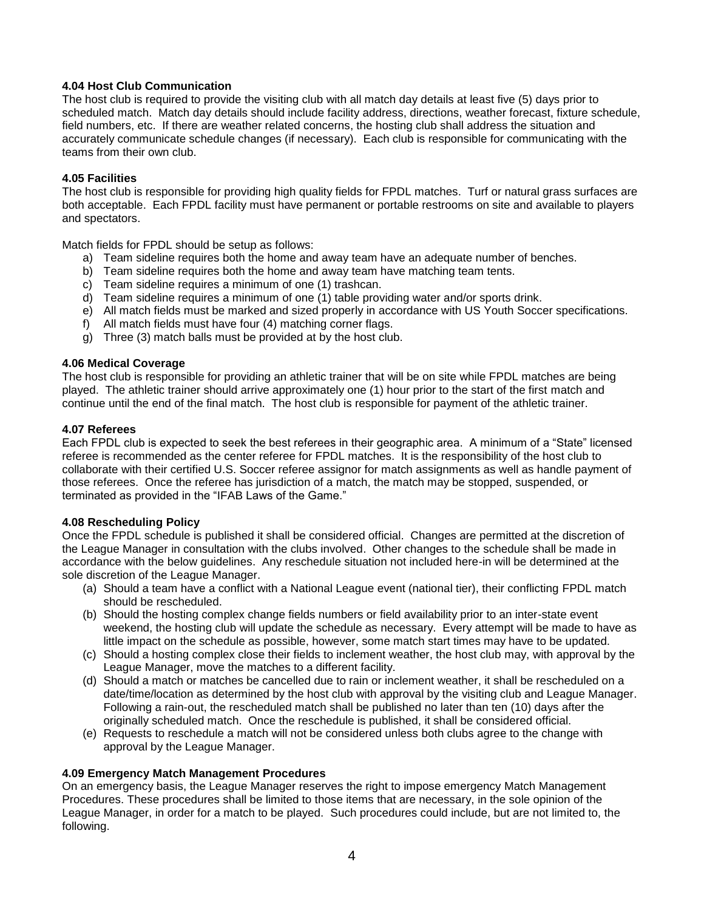# **4.04 Host Club Communication**

The host club is required to provide the visiting club with all match day details at least five (5) days prior to scheduled match. Match day details should include facility address, directions, weather forecast, fixture schedule, field numbers, etc. If there are weather related concerns, the hosting club shall address the situation and accurately communicate schedule changes (if necessary). Each club is responsible for communicating with the teams from their own club.

## **4.05 Facilities**

The host club is responsible for providing high quality fields for FPDL matches. Turf or natural grass surfaces are both acceptable. Each FPDL facility must have permanent or portable restrooms on site and available to players and spectators.

Match fields for FPDL should be setup as follows:

- a) Team sideline requires both the home and away team have an adequate number of benches.
- b) Team sideline requires both the home and away team have matching team tents.
- c) Team sideline requires a minimum of one (1) trashcan.
- d) Team sideline requires a minimum of one (1) table providing water and/or sports drink.
- e) All match fields must be marked and sized properly in accordance with US Youth Soccer specifications.
- f) All match fields must have four (4) matching corner flags.
- g) Three (3) match balls must be provided at by the host club.

# **4.06 Medical Coverage**

The host club is responsible for providing an athletic trainer that will be on site while FPDL matches are being played. The athletic trainer should arrive approximately one (1) hour prior to the start of the first match and continue until the end of the final match. The host club is responsible for payment of the athletic trainer.

#### **4.07 Referees**

Each FPDL club is expected to seek the best referees in their geographic area. A minimum of a "State" licensed referee is recommended as the center referee for FPDL matches. It is the responsibility of the host club to collaborate with their certified U.S. Soccer referee assignor for match assignments as well as handle payment of those referees. Once the referee has jurisdiction of a match, the match may be stopped, suspended, or terminated as provided in the "IFAB Laws of the Game."

#### **4.08 Rescheduling Policy**

Once the FPDL schedule is published it shall be considered official. Changes are permitted at the discretion of the League Manager in consultation with the clubs involved. Other changes to the schedule shall be made in accordance with the below guidelines. Any reschedule situation not included here-in will be determined at the sole discretion of the League Manager.

- (a) Should a team have a conflict with a National League event (national tier), their conflicting FPDL match should be rescheduled.
- (b) Should the hosting complex change fields numbers or field availability prior to an inter-state event weekend, the hosting club will update the schedule as necessary. Every attempt will be made to have as little impact on the schedule as possible, however, some match start times may have to be updated.
- (c) Should a hosting complex close their fields to inclement weather, the host club may, with approval by the League Manager, move the matches to a different facility.
- (d) Should a match or matches be cancelled due to rain or inclement weather, it shall be rescheduled on a date/time/location as determined by the host club with approval by the visiting club and League Manager. Following a rain-out, the rescheduled match shall be published no later than ten (10) days after the originally scheduled match. Once the reschedule is published, it shall be considered official.
- (e) Requests to reschedule a match will not be considered unless both clubs agree to the change with approval by the League Manager.

#### **4.09 Emergency Match Management Procedures**

On an emergency basis, the League Manager reserves the right to impose emergency Match Management Procedures. These procedures shall be limited to those items that are necessary, in the sole opinion of the League Manager, in order for a match to be played. Such procedures could include, but are not limited to, the following.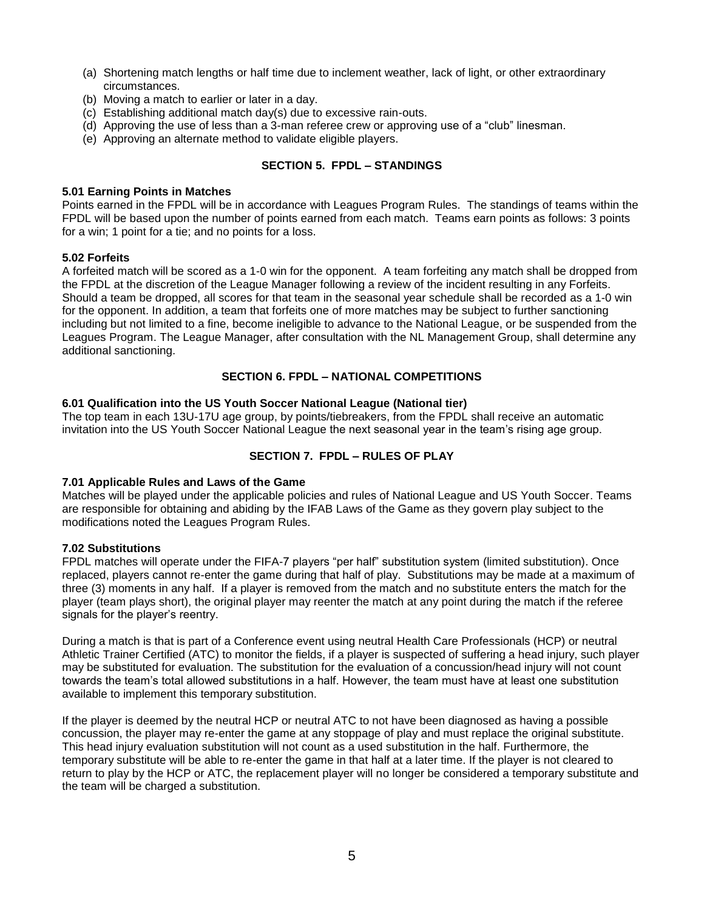- (a) Shortening match lengths or half time due to inclement weather, lack of light, or other extraordinary circumstances.
- (b) Moving a match to earlier or later in a day.
- (c) Establishing additional match day(s) due to excessive rain-outs.
- (d) Approving the use of less than a 3-man referee crew or approving use of a "club" linesman.
- (e) Approving an alternate method to validate eligible players.

# **SECTION 5. FPDL – STANDINGS**

#### **5.01 Earning Points in Matches**

Points earned in the FPDL will be in accordance with Leagues Program Rules. The standings of teams within the FPDL will be based upon the number of points earned from each match. Teams earn points as follows: 3 points for a win; 1 point for a tie; and no points for a loss.

#### **5.02 Forfeits**

A forfeited match will be scored as a 1-0 win for the opponent. A team forfeiting any match shall be dropped from the FPDL at the discretion of the League Manager following a review of the incident resulting in any Forfeits. Should a team be dropped, all scores for that team in the seasonal year schedule shall be recorded as a 1-0 win for the opponent. In addition, a team that forfeits one of more matches may be subject to further sanctioning including but not limited to a fine, become ineligible to advance to the National League, or be suspended from the Leagues Program. The League Manager, after consultation with the NL Management Group, shall determine any additional sanctioning.

#### **SECTION 6. FPDL – NATIONAL COMPETITIONS**

#### **6.01 Qualification into the US Youth Soccer National League (National tier)**

The top team in each 13U-17U age group, by points/tiebreakers, from the FPDL shall receive an automatic invitation into the US Youth Soccer National League the next seasonal year in the team's rising age group.

## **SECTION 7. FPDL – RULES OF PLAY**

#### **7.01 Applicable Rules and Laws of the Game**

Matches will be played under the applicable policies and rules of National League and US Youth Soccer. Teams are responsible for obtaining and abiding by the IFAB Laws of the Game as they govern play subject to the modifications noted the Leagues Program Rules.

#### **7.02 Substitutions**

FPDL matches will operate under the FIFA-7 players "per half" substitution system (limited substitution). Once replaced, players cannot re-enter the game during that half of play. Substitutions may be made at a maximum of three (3) moments in any half. If a player is removed from the match and no substitute enters the match for the player (team plays short), the original player may reenter the match at any point during the match if the referee signals for the player's reentry.

During a match is that is part of a Conference event using neutral Health Care Professionals (HCP) or neutral Athletic Trainer Certified (ATC) to monitor the fields, if a player is suspected of suffering a head injury, such player may be substituted for evaluation. The substitution for the evaluation of a concussion/head injury will not count towards the team's total allowed substitutions in a half. However, the team must have at least one substitution available to implement this temporary substitution.

If the player is deemed by the neutral HCP or neutral ATC to not have been diagnosed as having a possible concussion, the player may re-enter the game at any stoppage of play and must replace the original substitute. This head injury evaluation substitution will not count as a used substitution in the half. Furthermore, the temporary substitute will be able to re-enter the game in that half at a later time. If the player is not cleared to return to play by the HCP or ATC, the replacement player will no longer be considered a temporary substitute and the team will be charged a substitution.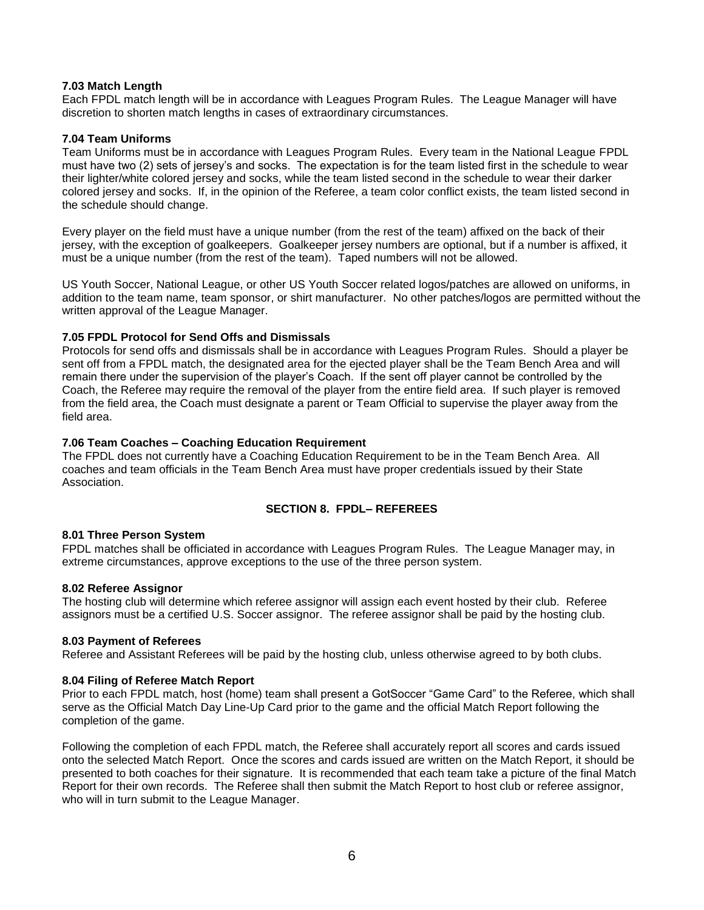# **7.03 Match Length**

Each FPDL match length will be in accordance with Leagues Program Rules. The League Manager will have discretion to shorten match lengths in cases of extraordinary circumstances.

#### **7.04 Team Uniforms**

Team Uniforms must be in accordance with Leagues Program Rules. Every team in the National League FPDL must have two (2) sets of jersey's and socks. The expectation is for the team listed first in the schedule to wear their lighter/white colored jersey and socks, while the team listed second in the schedule to wear their darker colored jersey and socks. If, in the opinion of the Referee, a team color conflict exists, the team listed second in the schedule should change.

Every player on the field must have a unique number (from the rest of the team) affixed on the back of their jersey, with the exception of goalkeepers. Goalkeeper jersey numbers are optional, but if a number is affixed, it must be a unique number (from the rest of the team). Taped numbers will not be allowed.

US Youth Soccer, National League, or other US Youth Soccer related logos/patches are allowed on uniforms, in addition to the team name, team sponsor, or shirt manufacturer. No other patches/logos are permitted without the written approval of the League Manager.

# **7.05 FPDL Protocol for Send Offs and Dismissals**

Protocols for send offs and dismissals shall be in accordance with Leagues Program Rules. Should a player be sent off from a FPDL match, the designated area for the ejected player shall be the Team Bench Area and will remain there under the supervision of the player's Coach. If the sent off player cannot be controlled by the Coach, the Referee may require the removal of the player from the entire field area. If such player is removed from the field area, the Coach must designate a parent or Team Official to supervise the player away from the field area.

# **7.06 Team Coaches – Coaching Education Requirement**

The FPDL does not currently have a Coaching Education Requirement to be in the Team Bench Area. All coaches and team officials in the Team Bench Area must have proper credentials issued by their State Association.

# **SECTION 8. FPDL– REFEREES**

#### **8.01 Three Person System**

FPDL matches shall be officiated in accordance with Leagues Program Rules. The League Manager may, in extreme circumstances, approve exceptions to the use of the three person system.

#### **8.02 Referee Assignor**

The hosting club will determine which referee assignor will assign each event hosted by their club. Referee assignors must be a certified U.S. Soccer assignor. The referee assignor shall be paid by the hosting club.

#### **8.03 Payment of Referees**

Referee and Assistant Referees will be paid by the hosting club, unless otherwise agreed to by both clubs.

#### **8.04 Filing of Referee Match Report**

Prior to each FPDL match, host (home) team shall present a GotSoccer "Game Card" to the Referee, which shall serve as the Official Match Day Line-Up Card prior to the game and the official Match Report following the completion of the game.

Following the completion of each FPDL match, the Referee shall accurately report all scores and cards issued onto the selected Match Report. Once the scores and cards issued are written on the Match Report, it should be presented to both coaches for their signature. It is recommended that each team take a picture of the final Match Report for their own records. The Referee shall then submit the Match Report to host club or referee assignor, who will in turn submit to the League Manager.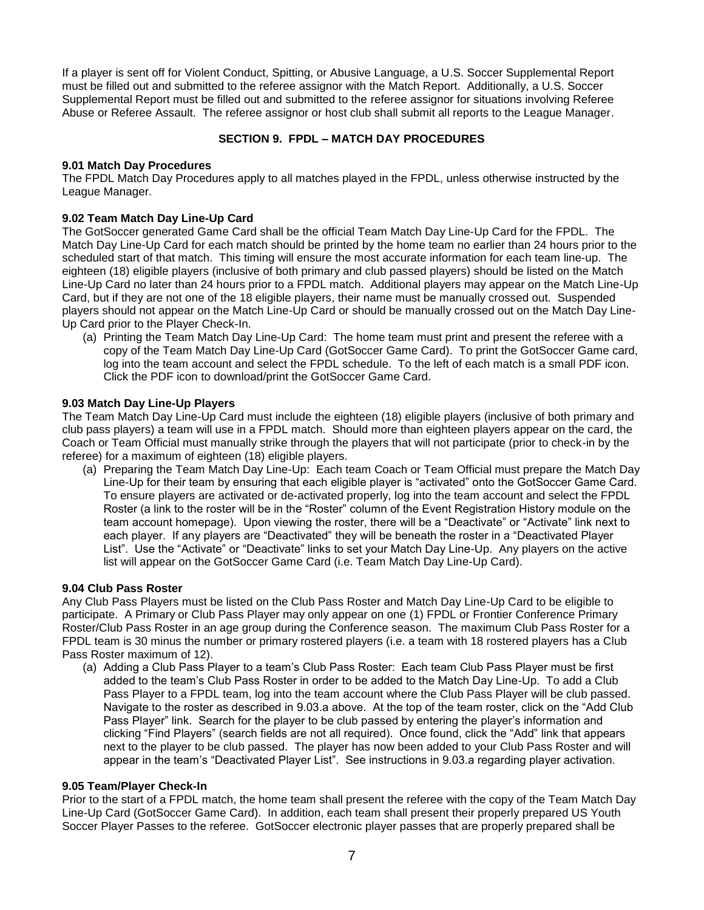If a player is sent off for Violent Conduct, Spitting, or Abusive Language, a U.S. Soccer Supplemental Report must be filled out and submitted to the referee assignor with the Match Report. Additionally, a U.S. Soccer Supplemental Report must be filled out and submitted to the referee assignor for situations involving Referee Abuse or Referee Assault. The referee assignor or host club shall submit all reports to the League Manager.

# **SECTION 9. FPDL – MATCH DAY PROCEDURES**

## **9.01 Match Day Procedures**

The FPDL Match Day Procedures apply to all matches played in the FPDL, unless otherwise instructed by the League Manager.

# **9.02 Team Match Day Line-Up Card**

The GotSoccer generated Game Card shall be the official Team Match Day Line-Up Card for the FPDL. The Match Day Line-Up Card for each match should be printed by the home team no earlier than 24 hours prior to the scheduled start of that match. This timing will ensure the most accurate information for each team line-up. The eighteen (18) eligible players (inclusive of both primary and club passed players) should be listed on the Match Line-Up Card no later than 24 hours prior to a FPDL match. Additional players may appear on the Match Line-Up Card, but if they are not one of the 18 eligible players, their name must be manually crossed out. Suspended players should not appear on the Match Line-Up Card or should be manually crossed out on the Match Day Line-Up Card prior to the Player Check-In.

(a) Printing the Team Match Day Line-Up Card: The home team must print and present the referee with a copy of the Team Match Day Line-Up Card (GotSoccer Game Card). To print the GotSoccer Game card, log into the team account and select the FPDL schedule. To the left of each match is a small PDF icon. Click the PDF icon to download/print the GotSoccer Game Card.

#### **9.03 Match Day Line-Up Players**

The Team Match Day Line-Up Card must include the eighteen (18) eligible players (inclusive of both primary and club pass players) a team will use in a FPDL match. Should more than eighteen players appear on the card, the Coach or Team Official must manually strike through the players that will not participate (prior to check-in by the referee) for a maximum of eighteen (18) eligible players.

(a) Preparing the Team Match Day Line-Up: Each team Coach or Team Official must prepare the Match Day Line-Up for their team by ensuring that each eligible player is "activated" onto the GotSoccer Game Card. To ensure players are activated or de-activated properly, log into the team account and select the FPDL Roster (a link to the roster will be in the "Roster" column of the Event Registration History module on the team account homepage). Upon viewing the roster, there will be a "Deactivate" or "Activate" link next to each player. If any players are "Deactivated" they will be beneath the roster in a "Deactivated Player List". Use the "Activate" or "Deactivate" links to set your Match Day Line-Up. Any players on the active list will appear on the GotSoccer Game Card (i.e. Team Match Day Line-Up Card).

#### **9.04 Club Pass Roster**

Any Club Pass Players must be listed on the Club Pass Roster and Match Day Line-Up Card to be eligible to participate. A Primary or Club Pass Player may only appear on one (1) FPDL or Frontier Conference Primary Roster/Club Pass Roster in an age group during the Conference season. The maximum Club Pass Roster for a FPDL team is 30 minus the number or primary rostered players (i.e. a team with 18 rostered players has a Club Pass Roster maximum of 12).

(a) Adding a Club Pass Player to a team's Club Pass Roster: Each team Club Pass Player must be first added to the team's Club Pass Roster in order to be added to the Match Day Line-Up. To add a Club Pass Player to a FPDL team, log into the team account where the Club Pass Player will be club passed. Navigate to the roster as described in 9.03.a above. At the top of the team roster, click on the "Add Club Pass Player" link. Search for the player to be club passed by entering the player's information and clicking "Find Players" (search fields are not all required). Once found, click the "Add" link that appears next to the player to be club passed. The player has now been added to your Club Pass Roster and will appear in the team's "Deactivated Player List". See instructions in 9.03.a regarding player activation.

#### **9.05 Team/Player Check-In**

Prior to the start of a FPDL match, the home team shall present the referee with the copy of the Team Match Day Line-Up Card (GotSoccer Game Card). In addition, each team shall present their properly prepared US Youth Soccer Player Passes to the referee. GotSoccer electronic player passes that are properly prepared shall be